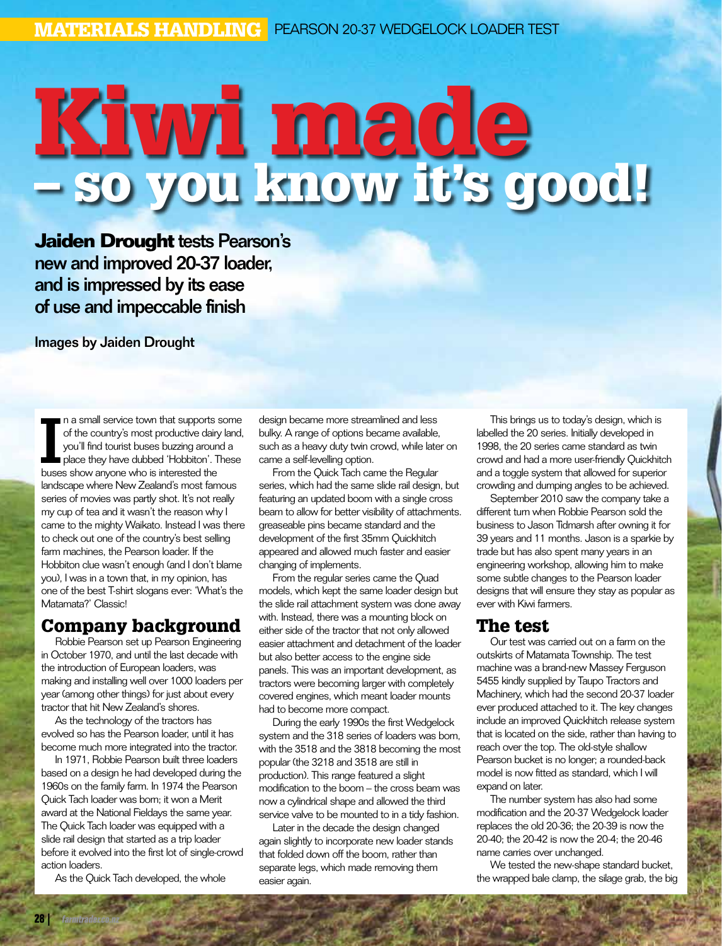# Kiwi made – so you know it's good!

**Jaiden Drought** tests Pearson's new and improved 20-37 loader, and is impressed by its ease of use and impeccable finish

Images by Jaiden Drought

In a small service town that supports of the country's most productive dairy you'll find tourist buses buzzing around place they have dubbed 'Hobbiton'. Thuses show anyone who is interested the n a small service town that supports some of the country's most productive dairy land, you'll find tourist buses buzzing around a place they have dubbed 'Hobbiton'. These landscape where New Zealand's most famous series of movies was partly shot. It's not really my cup of tea and it wasn't the reason why I came to the mighty Waikato. Instead I was there to check out one of the country's best selling farm machines, the Pearson loader. If the Hobbiton clue wasn't enough (and I don't blame you), I was in a town that, in my opinion, has one of the best T-shirt slogans ever: 'What's the Matamata?' Classic!

#### Company background

Robbie Pearson set up Pearson Engineering in October 1970, and until the last decade with the introduction of European loaders, was making and installing well over 1000 loaders per year (among other things) for just about every tractor that hit New Zealand's shores.

As the technology of the tractors has evolved so has the Pearson loader, until it has become much more integrated into the tractor.

In 1971, Robbie Pearson built three loaders based on a design he had developed during the 1960s on the family farm. In 1974 the Pearson Quick Tach loader was born; it won a Merit award at the National Fieldays the same year. The Quick Tach loader was equipped with a slide rail design that started as a trip loader before it evolved into the first lot of single-crowd action loaders.

As the Quick Tach developed, the whole

design became more streamlined and less bulky. A range of options became available, such as a heavy duty twin crowd, while later on came a self-levelling option.

From the Quick Tach came the Regular series, which had the same slide rail design, but featuring an updated boom with a single cross beam to allow for better visibility of attachments. greaseable pins became standard and the development of the first 35mm Quickhitch appeared and allowed much faster and easier changing of implements.

From the regular series came the Quad models, which kept the same loader design but the slide rail attachment system was done away with. Instead, there was a mounting block on either side of the tractor that not only allowed easier attachment and detachment of the loader but also better access to the engine side panels. This was an important development, as tractors were becoming larger with completely covered engines, which meant loader mounts had to become more compact.

During the early 1990s the first Wedgelock system and the 318 series of loaders was born, with the 3518 and the 3818 becoming the most popular (the 3218 and 3518 are still in production). This range featured a slight modification to the boom – the cross beam was now a cylindrical shape and allowed the third service valve to be mounted to in a tidy fashion.

Later in the decade the design changed again slightly to incorporate new loader stands that folded down off the boom, rather than separate legs, which made removing them easier again.

This brings us to today's design, which is labelled the 20 series. Initially developed in 1998, the 20 series came standard as twin crowd and had a more user-friendly Quickhitch and a toggle system that allowed for superior crowding and dumping angles to be achieved.

September 2010 saw the company take a different turn when Robbie Pearson sold the business to Jason Tidmarsh after owning it for 39 years and 11 months. Jason is a sparkie by trade but has also spent many years in an engineering workshop, allowing him to make some subtle changes to the Pearson loader designs that will ensure they stay as popular as ever with Kiwi farmers.

#### The test

Our test was carried out on a farm on the outskirts of Matamata Township. The test machine was a brand-new Massey Ferguson 5455 kindly supplied by Taupo Tractors and Machinery, which had the second 20-37 loader ever produced attached to it. The key changes include an improved Quickhitch release system that is located on the side, rather than having to reach over the top. The old-style shallow Pearson bucket is no longer; a rounded-back model is now fitted as standard, which I will expand on later.

The number system has also had some modification and the 20-37 Wedgelock loader replaces the old 20-36; the 20-39 is now the 20-40; the 20-42 is now the 20-4; the 20-46 name carries over unchanged.

We tested the new-shape standard bucket, the wrapped bale clamp, the silage grab, the big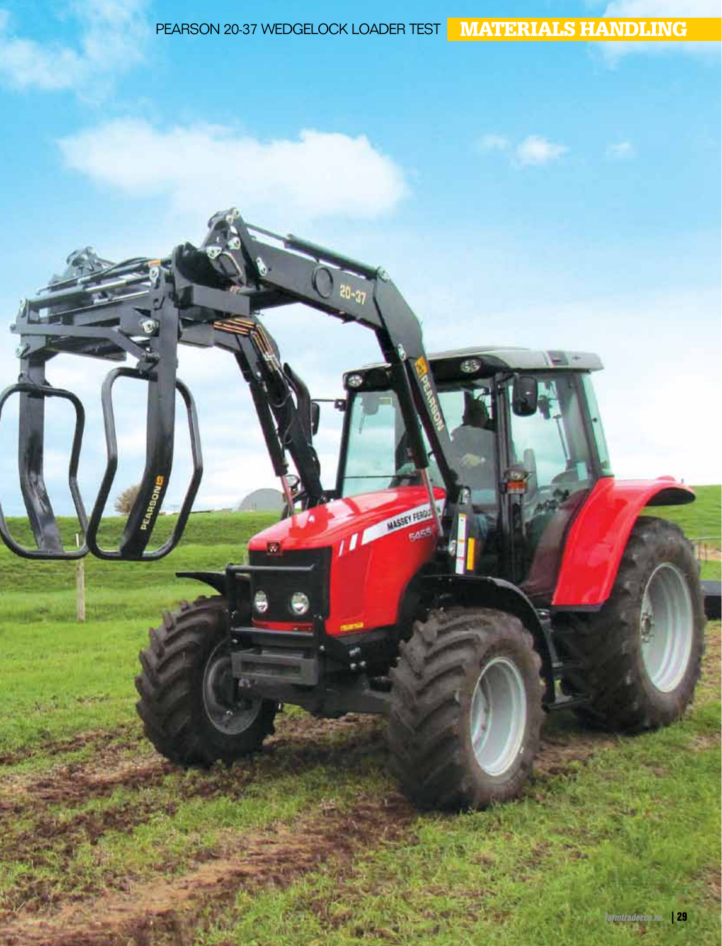### PEARSON 20-37 WEDGELOCK LOADER TEST MATERIALS HANDLING

WISSIER

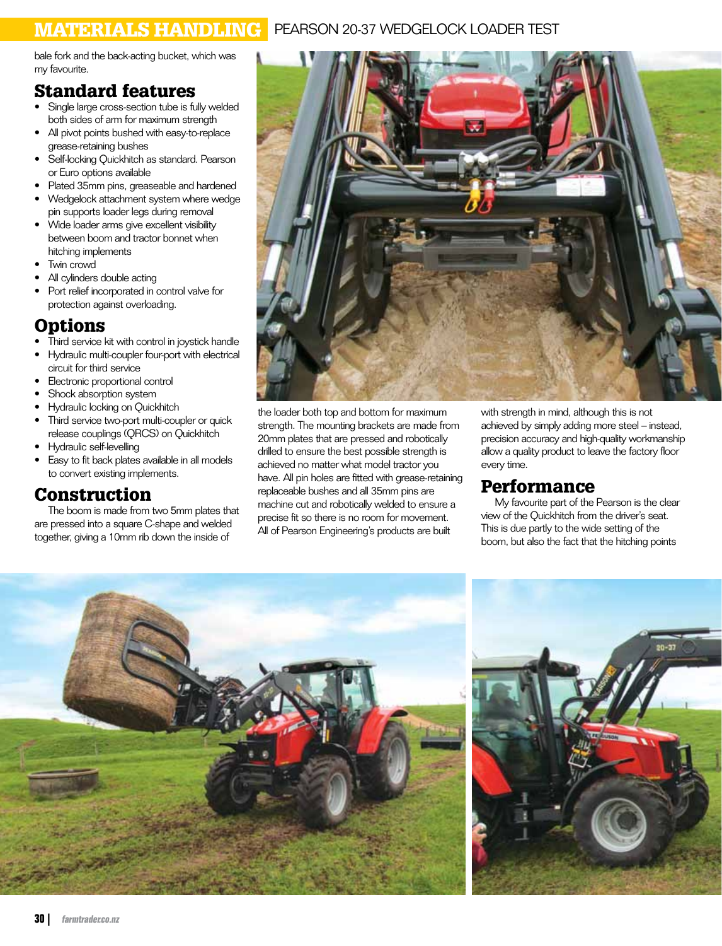#### **MATERIALS HANDLING PEARSON 20-37 WEDGELOCK LOADER TEST**

bale fork and the back-acting bucket, which was my favourite.

#### Standard features

- Single large cross-section tube is fully welded both sides of arm for maximum strength
- All pivot points bushed with easy-to-replace grease-retaining bushes
- • Self-locking Quickhitch as standard. Pearson or Euro options available
- Plated 35mm pins, greaseable and hardened
- Wedgelock attachment system where wedge pin supports loader legs during removal
- Wide loader arms give excellent visibility between boom and tractor bonnet when hitching implements
- Twin crowd
- All cylinders double acting
- Port relief incorporated in control valve for protection against overloading.

#### Options

- Third service kit with control in joystick handle
- • Hydraulic multi-coupler four-port with electrical circuit for third service
- • Electronic proportional control
- Shock absorption system
- Hydraulic locking on Quickhitch
- Third service two-port multi-coupler or quick release couplings (QRCS) on Quickhitch
- **Hydraulic self-levelling**
- Easy to fit back plates available in all models to convert existing implements.

#### Construction

The boom is made from two 5mm plates that are pressed into a square C-shape and welded together, giving a 10mm rib down the inside of



the loader both top and bottom for maximum strength. The mounting brackets are made from 20mm plates that are pressed and robotically drilled to ensure the best possible strength is achieved no matter what model tractor you have. All pin holes are fitted with grease-retaining replaceable bushes and all 35mm pins are machine cut and robotically welded to ensure a precise fit so there is no room for movement. All of Pearson Engineering's products are built

with strength in mind, although this is not achieved by simply adding more steel – instead, precision accuracy and high-quality workmanship allow a quality product to leave the factory floor every time.

#### Performance

My favourite part of the Pearson is the clear view of the Quickhitch from the driver's seat. This is due partly to the wide setting of the boom, but also the fact that the hitching points

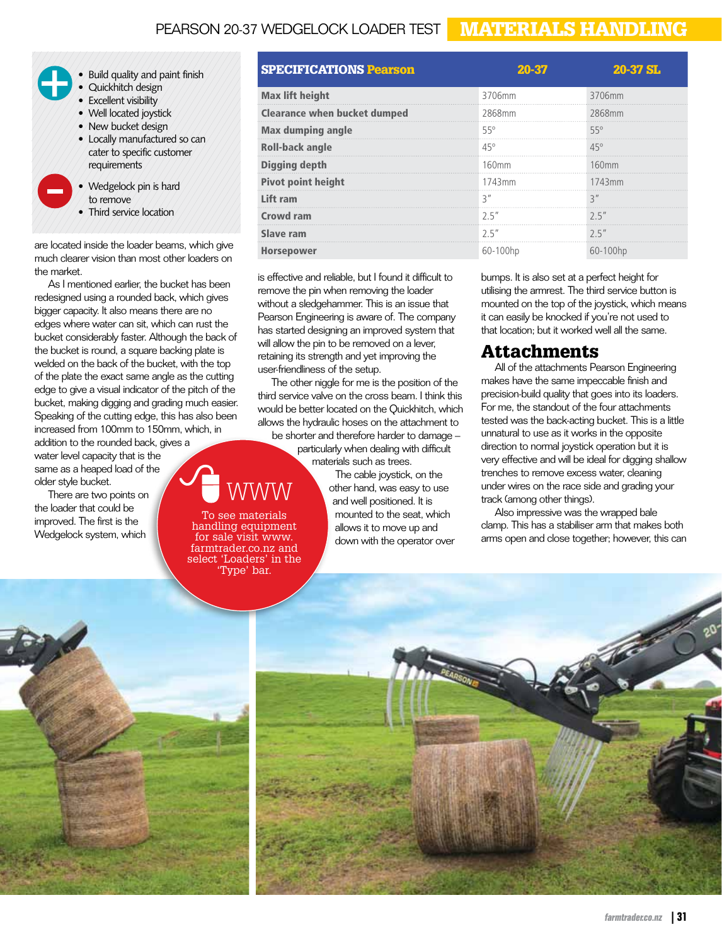#### PEARSON 20-37 WEDGELOCK LOADER TEST MATERIALS HANDLING

 $\bullet$  / Build quality and paint finish

- • Quickhitch design
- • Excellent visibility
- Well located joystick
- $\bullet$  New bucket design.
- Locally manufactured so can
- cater to specific customer requirements
- **Wedgelock** pin is hard to remove
	- Third service location

are located inside the loader beams, which give much clearer vision than most other loaders on the market.

As I mentioned earlier, the bucket has been redesigned using a rounded back, which gives bigger capacity. It also means there are no edges where water can sit, which can rust the bucket considerably faster. Although the back of the bucket is round, a square backing plate is welded on the back of the bucket, with the top of the plate the exact same angle as the cutting edge to give a visual indicator of the pitch of the bucket, making digging and grading much easier. Speaking of the cutting edge, this has also been increased from 100mm to 150mm, which, in addition to the rounded back, gives a

water level capacity that is the same as a heaped load of the older style bucket.

There are two points on the loader that could be improved. The first is the Wedgelock system, which

| <b>SPECIFICATIONS Pearson</b>       | 20-37      | <b>20-37 SL</b> |
|-------------------------------------|------------|-----------------|
| <b>Max lift height</b>              | 3706mm     | 3706mm          |
| <b>Clearance when bucket dumped</b> | 2868mm     | 2868mm          |
| <b>Max dumping angle</b>            | 55°        | $55^\circ$      |
| <b>Roll-back angle</b>              | $45^\circ$ | $45^\circ$      |
| Digging depth                       | 160mm      | 160mm           |
| <b>Pivot point height</b>           | 1743mm     | 1743mm          |
| <b>Lift ram</b>                     | 3''        | 3''             |
| <b>Crowd ram</b>                    | 25"        | 2.5''           |
| Slave ram                           | 2.5''      | 2.5''           |
| <b>Horsepower</b>                   | 60-100hp   | 60-100hp        |

is effective and reliable, but I found it difficult to remove the pin when removing the loader without a sledgehammer. This is an issue that Pearson Engineering is aware of. The company has started designing an improved system that will allow the pin to be removed on a lever, retaining its strength and yet improving the user-friendliness of the setup.

The other niggle for me is the position of the third service valve on the cross beam. I think this would be better located on the Quickhitch, which allows the hydraulic hoses on the attachment to

**WWW** 

To see materials handling equipment for sale visit www. farmtrader.co.nz and select 'Loaders' in the 'Type' bar.

be shorter and therefore harder to damage – particularly when dealing with difficult materials such as trees.

The cable joystick, on the other hand, was easy to use and well positioned. It is mounted to the seat, which allows it to move up and down with the operator over bumps. It is also set at a perfect height for utilising the armrest. The third service button is mounted on the top of the joystick, which means it can easily be knocked if you're not used to that location; but it worked well all the same.

#### Attachments

All of the attachments Pearson Engineering makes have the same impeccable finish and precision-build quality that goes into its loaders. For me, the standout of the four attachments tested was the back-acting bucket. This is a little unnatural to use as it works in the opposite direction to normal joystick operation but it is very effective and will be ideal for digging shallow trenches to remove excess water, cleaning under wires on the race side and grading your track (among other things).

Also impressive was the wrapped bale clamp. This has a stabiliser arm that makes both arms open and close together; however, this can